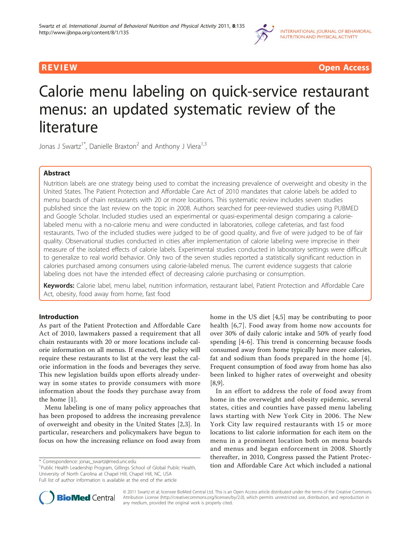

**REVIEW CONSUMING THE CONSUMING OPEN ACCESS** 

# Calorie menu labeling on quick-service restaurant menus: an updated systematic review of the literature

Jonas J Swartz<sup>1\*</sup>, Danielle Braxton<sup>2</sup> and Anthony J Viera<sup>1,3</sup>

# Abstract

Nutrition labels are one strategy being used to combat the increasing prevalence of overweight and obesity in the United States. The Patient Protection and Affordable Care Act of 2010 mandates that calorie labels be added to menu boards of chain restaurants with 20 or more locations. This systematic review includes seven studies published since the last review on the topic in 2008. Authors searched for peer-reviewed studies using PUBMED and Google Scholar. Included studies used an experimental or quasi-experimental design comparing a calorielabeled menu with a no-calorie menu and were conducted in laboratories, college cafeterias, and fast food restaurants. Two of the included studies were judged to be of good quality, and five of were judged to be of fair quality. Observational studies conducted in cities after implementation of calorie labeling were imprecise in their measure of the isolated effects of calorie labels. Experimental studies conducted in laboratory settings were difficult to generalize to real world behavior. Only two of the seven studies reported a statistically significant reduction in calories purchased among consumers using calorie-labeled menus. The current evidence suggests that calorie labeling does not have the intended effect of decreasing calorie purchasing or consumption.

Keywords: Calorie label, menu label, nutrition information, restaurant label, Patient Protection and Affordable Care Act, obesity, food away from home, fast food

# Introduction

As part of the Patient Protection and Affordable Care Act of 2010, lawmakers passed a requirement that all chain restaurants with 20 or more locations include calorie information on all menus. If enacted, the policy will require these restaurants to list at the very least the calorie information in the foods and beverages they serve. This new legislation builds upon efforts already underway in some states to provide consumers with more information about the foods they purchase away from the home [\[1\]](#page-6-0).

Menu labeling is one of many policy approaches that has been proposed to address the increasing prevalence of overweight and obesity in the United States [[2](#page-6-0),[3\]](#page-6-0). In particular, researchers and policymakers have begun to focus on how the increasing reliance on food away from

<sup>1</sup>Public Health Leadership Program, Gillings School of Global Public Health, University of North Carolina at Chapel Hill, Chapel Hill, NC, USA Full list of author information is available at the end of the article

home in the US diet [\[4](#page-6-0),[5\]](#page-6-0) may be contributing to poor health [[6,7](#page-6-0)]. Food away from home now accounts for over 30% of daily caloric intake and 50% of yearly food spending [[4](#page-6-0)-[6\]](#page-6-0). This trend is concerning because foods consumed away from home typically have more calories, fat and sodium than foods prepared in the home [[4\]](#page-6-0). Frequent consumption of food away from home has also been linked to higher rates of overweight and obesity [[8,9\]](#page-6-0).

In an effort to address the role of food away from home in the overweight and obesity epidemic, several states, cities and counties have passed menu labeling laws starting with New York City in 2006. The New York City law required restaurants with 15 or more locations to list calorie information for each item on the menu in a prominent location both on menu boards and menus and began enforcement in 2008. Shortly thereafter, in 2010, Congress passed the Patient Protection and Affordable Care Act which included a national \* Correspondence: [jonas\\_swartz@med.unc.edu](mailto:jonas_swartz@med.unc.edu)



© 2011 Swartz et al; licensee BioMed Central Ltd. This is an Open Access article distributed under the terms of the Creative Commons Attribution License [\(http://creativecommons.org/licenses/by/2.0](http://creativecommons.org/licenses/by/2.0)), which permits unrestricted use, distribution, and reproduction in any medium, provided the original work is properly cited.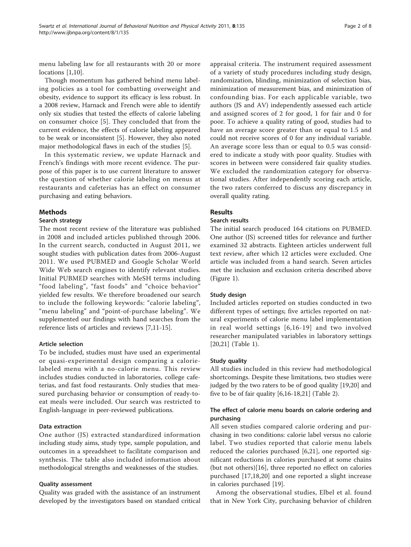menu labeling law for all restaurants with 20 or more locations [\[1,10](#page-6-0)].

Though momentum has gathered behind menu labeling policies as a tool for combatting overweight and obesity, evidence to support its efficacy is less robust. In a 2008 review, Harnack and French were able to identify only six studies that tested the effects of calorie labeling on consumer choice [[5\]](#page-6-0). They concluded that from the current evidence, the effects of calorie labeling appeared to be weak or inconsistent [\[5](#page-6-0)]. However, they also noted major methodological flaws in each of the studies [\[5](#page-6-0)].

In this systematic review, we update Harnack and French's findings with more recent evidence. The purpose of this paper is to use current literature to answer the question of whether calorie labeling on menus at restaurants and cafeterias has an effect on consumer purchasing and eating behaviors.

# Methods

## Search strategy

The most recent review of the literature was published in 2008 and included articles published through 2006. In the current search, conducted in August 2011, we sought studies with publication dates from 2006-August 2011. We used PUBMED and Google Scholar World Wide Web search engines to identify relevant studies. Initial PUBMED searches with MeSH terms including "food labeling", "fast foods" and "choice behavior" yielded few results. We therefore broadened our search to include the following keywords: "calorie labeling", "menu labeling" and "point-of-purchase labeling". We supplemented our findings with hand searches from the reference lists of articles and reviews [\[7,11-15](#page-6-0)].

# Article selection

To be included, studies must have used an experimental or quasi-experimental design comparing a calorielabeled menu with a no-calorie menu. This review includes studies conducted in laboratories, college cafeterias, and fast food restaurants. Only studies that measured purchasing behavior or consumption of ready-toeat meals were included. Our search was restricted to English-language in peer-reviewed publications.

# Data extraction

One author (JS) extracted standardized information including study aims, study type, sample population, and outcomes in a spreadsheet to facilitate comparison and synthesis. The table also included information about methodological strengths and weaknesses of the studies.

#### Quality assessment

Quality was graded with the assistance of an instrument developed by the investigators based on standard critical appraisal criteria. The instrument required assessment of a variety of study procedures including study design, randomization, blinding, minimization of selection bias, minimization of measurement bias, and minimization of confounding bias. For each applicable variable, two authors (JS and AV) independently assessed each article and assigned scores of 2 for good, 1 for fair and 0 for poor. To achieve a quality rating of good, studies had to have an average score greater than or equal to 1.5 and could not receive scores of 0 for any individual variable. An average score less than or equal to 0.5 was considered to indicate a study with poor quality. Studies with scores in between were considered fair quality studies. We excluded the randomization category for observational studies. After independently scoring each article, the two raters conferred to discuss any discrepancy in overall quality rating.

# Results

# Search results

The initial search produced 164 citations on PUBMED. One author (JS) screened titles for relevance and further examined 32 abstracts. Eighteen articles underwent full text review, after which 12 articles were excluded. One article was included from a hand search. Seven articles met the inclusion and exclusion criteria described above (Figure [1\)](#page-2-0).

#### Study design

Included articles reported on studies conducted in two different types of settings; five articles reported on natural experiments of calorie menu label implementation in real world settings [[6,16](#page-6-0)-[19\]](#page-6-0) and two involved researcher manipulated variables in laboratory settings [[20,21\]](#page-7-0) (Table [1](#page-3-0)).

#### Study quality

All studies included in this review had methodological shortcomings. Despite these limitations, two studies were judged by the two raters to be of good quality [\[19,](#page-6-0)[20\]](#page-7-0) and five to be of fair quality [\[6,16-18](#page-6-0)[,21](#page-7-0)] (Table [2\)](#page-4-0).

# The effect of calorie menu boards on calorie ordering and purchasing

All seven studies compared calorie ordering and purchasing in two conditions: calorie label versus no calorie label. Two studies reported that calorie menu labels reduced the calories purchased [[6,](#page-6-0)[21\]](#page-7-0), one reported significant reductions in calories purchased at some chains (but not others)[[16](#page-6-0)], three reported no effect on calories purchased [[17,18](#page-6-0)[,20](#page-7-0)] and one reported a slight increase in calories purchased [[19\]](#page-6-0).

Among the observational studies, Elbel et al. found that in New York City, purchasing behavior of children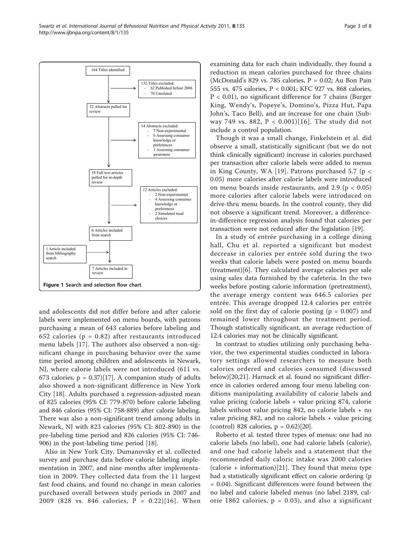<span id="page-2-0"></span>

and adolescents did not differ before and after calorie labels were implemented on menu boards, with patrons purchasing a mean of 643 calories before labeling and 652 calories ( $p = 0.82$ ) after restaurants introduced menu labels [[17\]](#page-6-0). The authors also observed a non-significant change in purchasing behavior over the same time period among children and adolescents in Newark, NJ, where calorie labels were not introduced (611 vs. 673 calories,  $p = 0.37$ [[17\]](#page-6-0). A companion study of adults also showed a non-significant difference in New York City [\[18](#page-6-0)]. Adults purchased a regression-adjusted mean of 825 calories (95% CI: 779-870) before calorie labeling and 846 calories (95% CI: 758-889) after calorie labeling. There was also a non-significant trend among adults in Newark, NJ with 823 calories (95% CI: 802-890) in the pre-labeling time period and 826 calories (95% CI: 746- 906) in the post-labeling time period [\[18](#page-6-0)].

Also in New York City, Dumanovsky et al. collected survey and purchase data before calorie labeling implementation in 2007, and nine months after implementation in 2009. They collected data from the 11 largest fast food chains, and found no change in mean calories purchased overall between study periods in 2007 and 2009 (828 vs. 846 calories, P = 0.22)[\[16](#page-6-0)]. When examining data for each chain individually, they found a reduction in mean calories purchased for three chains (McDonald's 829 vs. 785 calories,  $P = 0.02$ ; Au Bon Pain 555 vs. 475 calories, P < 0.001; KFC 927 vs. 868 calories, P < 0.01), no significant difference for 7 chains (Burger King, Wendy's, Popeye's, Domino's, Pizza Hut, Papa John's, Taco Bell), and an increase for one chain (Subway 749 vs. 882, P < 0.001)[[16\]](#page-6-0). The study did not include a control population.

Though it was a small change, Finkelstein et al. did observe a small, statistically significant (but we do not think clinically significant) increase in calories purchased per transaction after calorie labels were added to menus in King County, WA [[19](#page-6-0)]. Patrons purchased 5.7 ( $p <$ 0.05) more calories after calorie labels were introduced on menu boards inside restaurants, and  $2.9$  (p  $< 0.05$ ) more calories after calorie labels were introduced on drive-thru menu boards. In the control county, they did not observe a significant trend. Moreover, a differencein-difference regression analysis found that calories per transaction were not reduced after the legislation [\[19](#page-6-0)].

In a study of entrée purchasing in a college dining hall, Chu et al. reported a significant but modest decrease in calories per entrée sold during the two weeks that calorie labels were posted on menu boards (treatment)[[6\]](#page-6-0). They calculated average calories per sale using sales data furnished by the cafeteria. In the two weeks before posting calorie information (pretreatment), the average energy content was 646.5 calories per entrée. This average dropped 12.4 calories per entrée sold on the first day of calorie posting ( $p = 0.007$ ) and remained lower throughout the treatment period. Though statistically significant, an average reduction of 12.4 calories may not be clinically significant.

In contrast to studies utilizing only purchasing behavior, the two experimental studies conducted in laboratory settings allowed researchers to measure both calories ordered and calories consumed (discussed below)[\[20,21\]](#page-7-0). Harnack et al. found no significant difference in calories ordered among four menu labeling conditions manipulating availability of calorie labels and value pricing (calorie labels + value pricing 874, calorie labels without value pricing 842, no calorie labels + no value pricing 882, and no calorie labels + value pricing (control) 828 calories,  $p = 0.62$ [[20\]](#page-7-0).

Roberto et al. tested three types of menus: one had no calorie labels (no label), one had calorie labels (calorie), and one had calorie labels and a statement that the recommended daily caloric intake was 2000 calories  $(calorie + information)[21]$  $(calorie + information)[21]$ . They found that menu type had a statistically significant effect on calorie ordering (p = 0.04). Significant differences were found between the no label and calorie labeled menus (no label 2189, calorie 1862 calories,  $p = 0.03$ ), and also a significant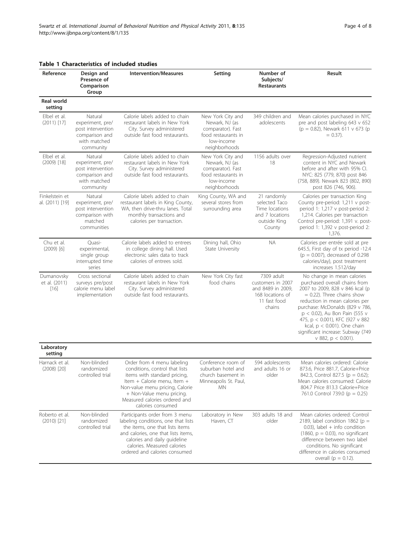| Reference                             | Design and<br>Presence of<br>Comparison<br>Group                                                | <b>Intervention/Measures</b>                                                                                                                                                                                                                      | Setting                                                                                                        | Number of<br>Subjects/<br><b>Restaurants</b>                                                       | Result                                                                                                                                                                                                                                                                                                                                                                     |  |
|---------------------------------------|-------------------------------------------------------------------------------------------------|---------------------------------------------------------------------------------------------------------------------------------------------------------------------------------------------------------------------------------------------------|----------------------------------------------------------------------------------------------------------------|----------------------------------------------------------------------------------------------------|----------------------------------------------------------------------------------------------------------------------------------------------------------------------------------------------------------------------------------------------------------------------------------------------------------------------------------------------------------------------------|--|
| <b>Real world</b><br>setting          |                                                                                                 |                                                                                                                                                                                                                                                   |                                                                                                                |                                                                                                    |                                                                                                                                                                                                                                                                                                                                                                            |  |
| Elbel et al.<br>$(2011)$ [17]         | Natural<br>experiment, pre/<br>post intervention<br>comparison and<br>with matched<br>community | Calorie labels added to chain<br>restaurant labels in New York<br>City. Survey administered<br>outside fast food restaurants.                                                                                                                     |                                                                                                                | 349 children and<br>adolescents                                                                    | Mean calories purchased in NYC<br>pre and post labeling 643 v 652<br>$(p = 0.82)$ , Newark 611 v 673 (p<br>$= 0.37$ ).                                                                                                                                                                                                                                                     |  |
| Elbel et al.<br>$(2009)$ [18]         | Natural<br>experiment, pre/<br>post intervention<br>comparison and<br>with matched<br>community | Calorie labels added to chain<br>restaurant labels in New York<br>City. Survey administered<br>outside fast food restaurants.                                                                                                                     | New York City and<br>Newark, NJ (as<br>comparator). Fast<br>food restaurants in<br>low-income<br>neighborhoods | 1156 adults over<br>18                                                                             | Regression-Adjusted nutrient<br>content in NYC and Newark<br>before and after with 95% Cl.<br>NYC: 825 (779, 870) post 846<br>(758, 889). Newark 823 (802, 890)<br>post 826 (746, 906).                                                                                                                                                                                    |  |
| Finkelstein et<br>al. (2011) [19]     | Natural<br>experiment, pre/<br>post intervention<br>comparison with<br>matched<br>communities   | Calorie labels added to chain<br>restaurant labels in King County,<br>WA, then drive-thru lanes. Total<br>monthly transactions and<br>calories per transaction.                                                                                   | King County, WA and<br>several stores from<br>surrounding area                                                 | 21 randomly<br>selected Taco<br>Time locations<br>and 7 locations<br>outside King<br>County        | Calories per transaction King<br>County pre-period: 1,211 v post-<br>period 1: 1,217 v post-period 2:<br>1,214. Calories per transaction<br>Control pre-period: 1,391 v. post-<br>period 1: 1,392 v post-period 2:<br>1,376.                                                                                                                                               |  |
| Chu et al.<br>$(2009)$ [6]            | Quasi-<br>experimental,<br>single group<br>interrupted time<br>series                           | Calorie labels added to entrees<br>in college dining hall. Used<br>electronic sales data to track<br>calories of entrees sold.                                                                                                                    | Dining hall, Ohio<br>State University                                                                          | <b>NA</b>                                                                                          | Calories per entrée sold at pre<br>645.5, First day of tx period -12.4<br>$(p = 0.007)$ , decreased of 0.298<br>calories/day), post treatment<br>increases 1.512/day                                                                                                                                                                                                       |  |
| Dumanovsky<br>et al. (2011)<br>$[16]$ | Cross sectional<br>surveys pre/post<br>calorie menu label<br>implementation                     | Calorie labels added to chain<br>restaurant labels in New York<br>City. Survey administered<br>outside fast food restaurants.                                                                                                                     | New York City fast<br>food chains                                                                              | 7309 adult<br>customers in 2007<br>and 8489 in 2009,<br>168 locations of<br>11 fast food<br>chains | No change in mean calories<br>purchased overall chains from<br>2007 to 2009, 828 v 846 kcal (p<br>$= 0.22$ ). Three chains show<br>reduction in mean calories per<br>purchase: McDonalds (829 v 786,<br>$p$ < 0.02), Au Bon Pain (555 v<br>475, p < 0.001), KFC (927 v 882<br>kcal, $p < 0.001$ ). One chain<br>significant increase: Subway (749<br>v 882, $p < 0.001$ ). |  |
| Laboratory<br>setting                 |                                                                                                 |                                                                                                                                                                                                                                                   |                                                                                                                |                                                                                                    |                                                                                                                                                                                                                                                                                                                                                                            |  |
| Harnack et al.<br>$(2008)$ $[20]$     | Non-blinded<br>randomized<br>controlled trial                                                   | Order from 4 menu labeling<br>conditions, control that lists<br>items with standard pricing,<br>Item + Calorie menu, Item +<br>Non-value menu pricing, Calorie<br>+ Non-Value menu pricing.<br>Measured calories ordered and<br>calories consumed | Conference room of<br>suburban hotel and<br>church basement in<br>Minneapolis St. Paul,<br>ΜN                  | 594 adolescents<br>and adults 16 or<br>older                                                       | Mean calories ordered: Calorie<br>873.6, Price 881.7, Calorie+Price<br>842.3, Control 827.5 (p = 0.62);<br>Mean calories consumed: Calorie<br>804.7 Price 813.3 Calorie+Price<br>761.0 Control 739.0 (p = 0.25)                                                                                                                                                            |  |
| Roberto et al.<br>$(2010)$ $[21]$     | Non-blinded<br>randomized<br>controlled trial                                                   | Participants order from 3 menu<br>labeling conditions, one that lists<br>the items, one that lists items<br>and calories, one that lists items,<br>calories and daily guideline<br>calories. Measured calories<br>ordered and calories consumed   | Laboratory in New<br>Haven, CT                                                                                 | 303 adults 18 and<br>older                                                                         | Mean calories ordered: Control<br>2189, label condition 1862 (p =<br>$0.03$ ), label + info condition<br>$(1860, p = 0.03)$ , no significant<br>difference between two label<br>conditions. No significant<br>difference in calories consumed<br>overall ( $p = 0.12$ ).                                                                                                   |  |

# <span id="page-3-0"></span>Table 1 Characteristics of included studies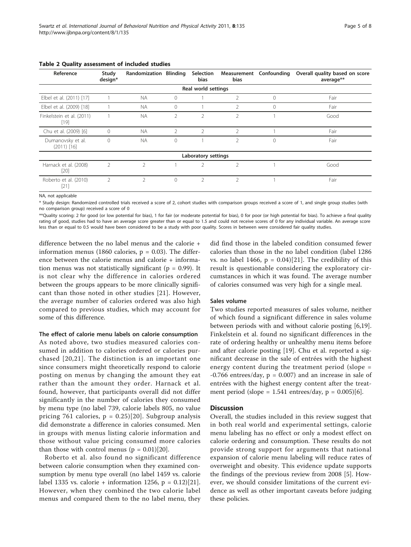| Reference                           | Study<br>design* | <b>Randomization Blinding</b> |                | <b>Selection</b><br><b>bias</b> | <b>Measurement Confounding</b><br><b>bias</b> |             | Overall quality based on score<br>average** |  |  |  |  |
|-------------------------------------|------------------|-------------------------------|----------------|---------------------------------|-----------------------------------------------|-------------|---------------------------------------------|--|--|--|--|
| Real world settings                 |                  |                               |                |                                 |                                               |             |                                             |  |  |  |  |
| Elbel et al. (2011) [17]            |                  | <b>NA</b>                     | $\Omega$       |                                 | 2                                             | $\mathbf 0$ | Fair                                        |  |  |  |  |
| Elbel et al. (2009) [18]            |                  | NA.                           | 0              |                                 | $\overline{2}$                                | $\mathbf 0$ | Fair                                        |  |  |  |  |
| Finkelstein et al. (2011)<br>$[19]$ |                  | <b>NA</b>                     | $\overline{2}$ | 2                               | $\mathfrak{D}$                                |             | Good                                        |  |  |  |  |
| Chu et al. (2009) [6]               | $\Omega$         | <b>NA</b>                     | $\overline{2}$ | $\overline{2}$                  | $\overline{2}$                                |             | Fair                                        |  |  |  |  |
| Dumanovsky et al.<br>$(2011)$ [16]  | $\Omega$         | <b>NA</b>                     | $\Omega$       |                                 | $\mathfrak{D}$                                | $\Omega$    | Fair                                        |  |  |  |  |
| Laboratory settings                 |                  |                               |                |                                 |                                               |             |                                             |  |  |  |  |
| Harnack et al. (2008)<br>[20]       | $\mathfrak{D}$   | $\mathfrak{D}$                |                | $\mathfrak{D}$                  | 2                                             |             | Good                                        |  |  |  |  |
| Roberto et al. (2010)<br>[21]       | $\mathfrak{D}$   | $\mathfrak{D}$                | $\Omega$       | $\mathcal{P}$                   | $\mathfrak{D}$                                |             | Fair                                        |  |  |  |  |

#### <span id="page-4-0"></span>Table 2 Quality assessment of included studies

NA, not applicable

\* Study design: Randomized controlled trials received a score of 2, cohort studies with comparison groups received a score of 1, and single group studies (with no comparison group) received a score of 0

\*\*Quality scoring: 2 for good (or low potential for bias), 1 for fair (or moderate potential for bias), 0 for poor (or high potential for bias). To achieve a final quality rating of good, studies had to have an average score greater than or equal to 1.5 and could not receive scores of 0 for any individual variable. An average score less than or equal to 0.5 would have been considered to be a study with poor quality. Scores in between were considered fair quality studies.

difference between the no label menus and the calorie + information menus (1860 calories,  $p = 0.03$ ). The difference between the calorie menus and calorie + information menus was not statistically significant ( $p = 0.99$ ). It is not clear why the difference in calories ordered between the groups appears to be more clinically significant than those noted in other studies [[21\]](#page-7-0). However, the average number of calories ordered was also high compared to previous studies, which may account for some of this difference.

#### The effect of calorie menu labels on calorie consumption

As noted above, two studies measured calories consumed in addition to calories ordered or calories purchased [[20,21\]](#page-7-0). The distinction is an important one since consumers might theoretically respond to calorie posting on menus by changing the amount they eat rather than the amount they order. Harnack et al. found, however, that participants overall did not differ significantly in the number of calories they consumed by menu type (no label 739, calorie labels 805, no value pricing 761 calories,  $p = 0.25$ [\[20\]](#page-7-0). Subgroup analysis did demonstrate a difference in calories consumed. Men in groups with menus listing calorie information and those without value pricing consumed more calories than those with control menus  $(p = 0.01)[20]$  $(p = 0.01)[20]$  $(p = 0.01)[20]$ .

Roberto et al. also found no significant difference between calorie consumption when they examined consumption by menu type overall (no label 1459 vs. calorie label 1335 vs. calorie + information 1256,  $p = 0.12$ [\[21](#page-7-0)]. However, when they combined the two calorie label menus and compared them to the no label menu, they

did find those in the labeled condition consumed fewer calories than those in the no label condition (label 1286 vs. no label 1466,  $p = 0.04$ [[21\]](#page-7-0). The credibility of this result is questionable considering the exploratory circumstances in which it was found. The average number of calories consumed was very high for a single meal.

#### Sales volume

Two studies reported measures of sales volume, neither of which found a significant difference in sales volume between periods with and without calorie posting [\[6,19](#page-6-0)]. Finkelstein et al. found no significant differences in the rate of ordering healthy or unhealthy menu items before and after calorie posting [[19\]](#page-6-0). Chu et al. reported a significant decrease in the sale of entrées with the highest energy content during the treatment period (slope =  $-0.766$  entrees/day,  $p = 0.007$ ) and an increase in sale of entrées with the highest energy content after the treatment period (slope =  $1.541$  entrees/day, p =  $0.005$ )[[6\]](#page-6-0).

# **Discussion**

Overall, the studies included in this review suggest that in both real world and experimental settings, calorie menu labeling has no effect or only a modest effect on calorie ordering and consumption. These results do not provide strong support for arguments that national expansion of calorie menu labeling will reduce rates of overweight and obesity. This evidence update supports the findings of the previous review from 2008 [[5\]](#page-6-0). However, we should consider limitations of the current evidence as well as other important caveats before judging these policies.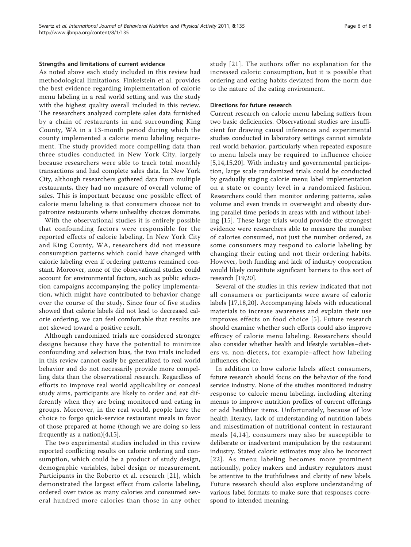#### Strengths and limitations of current evidence

As noted above each study included in this review had methodological limitations. Finkelstein et al. provides the best evidence regarding implementation of calorie menu labeling in a real world setting and was the study with the highest quality overall included in this review. The researchers analyzed complete sales data furnished by a chain of restaurants in and surrounding King County, WA in a 13-month period during which the county implemented a calorie menu labeling requirement. The study provided more compelling data than three studies conducted in New York City, largely because researchers were able to track total monthly transactions and had complete sales data. In New York City, although researchers gathered data from multiple restaurants, they had no measure of overall volume of sales. This is important because one possible effect of calorie menu labeling is that consumers choose not to patronize restaurants where unhealthy choices dominate.

With the observational studies it is entirely possible that confounding factors were responsible for the reported effects of calorie labeling. In New York City and King County, WA, researchers did not measure consumption patterns which could have changed with calorie labeling even if ordering patterns remained constant. Moreover, none of the observational studies could account for environmental factors, such as public education campaigns accompanying the policy implementation, which might have contributed to behavior change over the course of the study. Since four of five studies showed that calorie labels did not lead to decreased calorie ordering, we can feel comfortable that results are not skewed toward a positive result.

Although randomized trials are considered stronger designs because they have the potential to minimize confounding and selection bias, the two trials included in this review cannot easily be generalized to real world behavior and do not necessarily provide more compelling data than the observational research. Regardless of efforts to improve real world applicability or conceal study aims, participants are likely to order and eat differently when they are being monitored and eating in groups. Moreover, in the real world, people have the choice to forgo quick-service restaurant meals in favor of those prepared at home (though we are doing so less frequently as a nation)[\[4,15](#page-6-0)].

The two experimental studies included in this review reported conflicting results on calorie ordering and consumption, which could be a product of study design, demographic variables, label design or measurement. Participants in the Roberto et al. research [[21\]](#page-7-0), which demonstrated the largest effect from calorie labeling, ordered over twice as many calories and consumed several hundred more calories than those in any other study [[21](#page-7-0)]. The authors offer no explanation for the increased caloric consumption, but it is possible that ordering and eating habits deviated from the norm due to the nature of the eating environment.

#### Directions for future research

Current research on calorie menu labeling suffers from two basic deficiencies. Observational studies are insufficient for drawing causal inferences and experimental studies conducted in laboratory settings cannot simulate real world behavior, particularly when repeated exposure to menu labels may be required to influence choice [[5,14,15](#page-6-0)[,20](#page-7-0)]. With industry and governmental participation, large scale randomized trials could be conducted by gradually staging calorie menu label implementation on a state or county level in a randomized fashion. Researchers could then monitor ordering patterns, sales volume and even trends in overweight and obesity during parallel time periods in areas with and without labeling [\[15](#page-6-0)]. These large trials would provide the strongest evidence were researchers able to measure the number of calories consumed, not just the number ordered, as some consumers may respond to calorie labeling by changing their eating and not their ordering habits. However, both funding and lack of industry cooperation would likely constitute significant barriers to this sort of research [[19,](#page-6-0)[20\]](#page-7-0).

Several of the studies in this review indicated that not all consumers or participants were aware of calorie labels [[17](#page-6-0),[18,](#page-6-0)[20\]](#page-7-0). Accompanying labels with educational materials to increase awareness and explain their use improves effects on food choice [[5\]](#page-6-0). Future research should examine whether such efforts could also improve efficacy of calorie menu labeling. Researchers should also consider whether health and lifestyle variables–dieters vs. non-dieters, for example–affect how labeling influences choice.

In addition to how calorie labels affect consumers, future research should focus on the behavior of the food service industry. None of the studies monitored industry response to calorie menu labeling, including altering menus to improve nutrition profiles of current offerings or add healthier items. Unfortunately, because of low health literacy, lack of understanding of nutrition labels and misestimation of nutritional content in restaurant meals [[4](#page-6-0),[14](#page-6-0)], consumers may also be susceptible to deliberate or inadvertent manipulation by the restaurant industry. Stated caloric estimates may also be incorrect [[22](#page-7-0)]. As menu labeling becomes more prominent nationally, policy makers and industry regulators must be attentive to the truthfulness and clarity of new labels. Future research should also explore understanding of various label formats to make sure that responses correspond to intended meaning.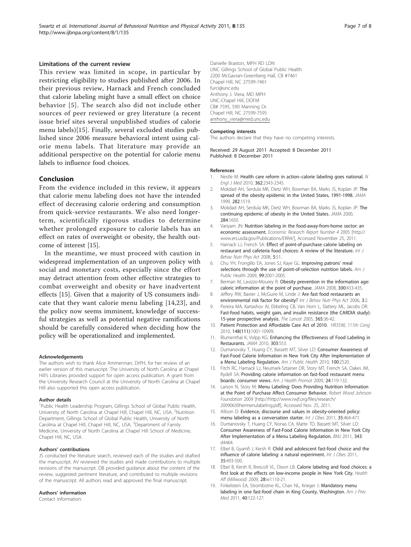## <span id="page-6-0"></span>Limitations of the current review

This review was limited in scope, in particular by restricting eligibility to studies published after 2006. In their previous review, Harnack and French concluded that calorie labeling might have a small effect on choice behavior [5]. The search also did not include other sources of peer reviewed or grey literature (a recent issue brief sites several unpublished studies of calorie menu labels)[15]. Finally, several excluded studies published since 2006 measure behavioral intent using calorie menu labels. That literature may provide an additional perspective on the potential for calorie menu labels to influence food choices.

#### Conclusion

From the evidence included in this review, it appears that calorie menu labeling does not have the intended effect of decreasing calorie ordering and consumption from quick-service restaurants. We also need longerterm, scientifically rigorous studies to determine whether prolonged exposure to calorie labels has an effect on rates of overweight or obesity, the health outcome of interest [15].

In the meantime, we must proceed with caution in widespread implementation of an unproven policy with social and monetary costs, especially since the effort may detract attention from other effective strategies to combat overweight and obesity or have inadvertent effects [15]. Given that a majority of US consumers indicate that they want calorie menu labeling [14,[23\]](#page-7-0), and the policy now seems imminent, knowledge of successful strategies as well as potential negative ramifications should be carefully considered when deciding how the policy will be operationalized and implemented.

#### Acknowledgements

The authors wish to thank Alice Ammerman, DrPH, for her review of an earlier version of this manuscript. The University of North Carolina at Chapel Hill's Libraries provided support for open access publication. A grant from the University Research Council at the University of North Carolina at Chapel Hill also supported this open access publication.

#### Author details

<sup>1</sup>Public Health Leadership Program, Gillings School of Global Public Health, University of North Carolina at Chapel Hill, Chapel Hill, NC, USA. <sup>2</sup>Nutrition Department, Gillings School of Global Public Health, University of North Carolina at Chapel Hill, Chapel Hill, NC, USA. <sup>3</sup>Department of Family Medicine, University of North Carolina at Chapel Hill School of Medicine, Chapel Hill, NC, USA.

#### Authors' contributions

JS conducted the literature search, reviewed each of the studies and drafted the manuscript. AV reviewed the studies and made contributions to multiple revisions of the manuscript. DB provided guidance about the content of the review, suggested pertinent literature, and contributed to multiple revisions of the manuscript. All authors read and approved the final manuscript.

#### Authors' information

Contact information:

Danielle Braxton, MPH RD LDN UNC Gillings School of Global Public Health 2200 McGavran-Greenberg Hall, CB #7461 Chapel Hill, NC 27599-7461 furci@unc.edu Anthony J. Viera, MD MPH UNC-Chapel Hill, DOFM CB# 7595, 590 Manning Dr. Chapel Hill, NC 27599-7595 anthony\_viera@med.unc.edu

#### Competing interests

The authors declare that they have no competing interests.

Received: 29 August 2011 Accepted: 8 December 2011 Published: 8 December 2011

#### References

- 1. Nestle M: Health care reform in action–[calorie labeling goes national.](http://www.ncbi.nlm.nih.gov/pubmed/20375399?dopt=Abstract) N Engl J Med 2010, 362:2343-2345.
- 2. Mokdad AH, Serdula MK, Dietz WH, Bowman BA, Marks JS, Koplan JP: [The](http://www.ncbi.nlm.nih.gov/pubmed/10546690?dopt=Abstract) [spread of the obesity epidemic in the United States, 1991-1998.](http://www.ncbi.nlm.nih.gov/pubmed/10546690?dopt=Abstract) JAMA 1999, 282:1519.
- 3. Mokdad AH, Serdula MK, Dietz WH, Bowman BA, Marks JS, Koplan JP: [The](http://www.ncbi.nlm.nih.gov/pubmed/11015792?dopt=Abstract) [continuing epidemic of obesity in the United States.](http://www.ncbi.nlm.nih.gov/pubmed/11015792?dopt=Abstract) JAMA 2000, 284:1650.
- 4. Variyam JN: Nutrition labeling in the food-away-from-home sector: an economic assessment. Economic Research Report Number 4 2005 [\[http://](http://www.ers.usda.gov/Publications/ERR4/) [www.ers.usda.gov/Publications/ERR4/\]](http://www.ers.usda.gov/Publications/ERR4/), Accessed November 25, 2011.
- Harnack LJ, French SA: [Effect of point-of-purchase calorie labeling on](http://www.ncbi.nlm.nih.gov/pubmed/18950529?dopt=Abstract) [restaurant and cafeteria food choices: A review of the literature.](http://www.ncbi.nlm.nih.gov/pubmed/18950529?dopt=Abstract) Int J Behav Nutr Phys Act 2008, 5:51.
- 6. Chu YH, Frongillo EA, Jones SJ, Kaye GL: [Improving patrons](http://www.ncbi.nlm.nih.gov/pubmed/19762664?dopt=Abstract)' meal [selections through the use of point-of-selection nutrition labels.](http://www.ncbi.nlm.nih.gov/pubmed/19762664?dopt=Abstract) Am J Public Health 2009, 99:2001-2005.
- 7. Berman M, Lavizzo-Mourey R: [Obesity prevention in the information age:](http://www.ncbi.nlm.nih.gov/pubmed/18647987?dopt=Abstract) [caloric information at the point of purchase.](http://www.ncbi.nlm.nih.gov/pubmed/18647987?dopt=Abstract) JAMA 2008, 300:433-435.
- 8. Jeffery RW, Baxter J, McGuire M, Linde J: [Are fast food restaurants an](http://www.ncbi.nlm.nih.gov/pubmed/16436207?dopt=Abstract) [environmental risk factor for obesity?](http://www.ncbi.nlm.nih.gov/pubmed/16436207?dopt=Abstract) Int J Behav Nutr Phys Act 2006, 3:2.
- 9. Pereira MA, Kartashov AI, Ebbeling CB, Van Horn L, Slattery ML, Jacobs DR: Fast-food habits, weight gain, and insulin resistance (the CARDIA study): 15-year prospective analysis. The Lancet 2005, 365:36-42.
- 10. Patient Protection and Affordable Care Act of 2010. HR3590, 111th Cong 2010, 148(111):1001-10909.
- 11. Blumenthal K, Volpp KG: [Enhancing the Effectiveness of Food Labeling in](http://www.ncbi.nlm.nih.gov/pubmed/20145233?dopt=Abstract) [Restaurants.](http://www.ncbi.nlm.nih.gov/pubmed/20145233?dopt=Abstract) JAMA 2010, 303:553.
- 12. Dumanovsky T, Huang CY, Bassett MT, Silver LD: [Consumer Awareness of](http://www.ncbi.nlm.nih.gov/pubmed/20966367?dopt=Abstract) [Fast-Food Calorie Information in New York City After Implementation of](http://www.ncbi.nlm.nih.gov/pubmed/20966367?dopt=Abstract) [a Menu Labeling Regulation.](http://www.ncbi.nlm.nih.gov/pubmed/20966367?dopt=Abstract) Am J Public Health 2010, 100:2520.
- 13. Fitch RC, Harnack LJ, Neumark-Sztainer DR, Story MT, French SA, Oakes JM, Rydell SA: Providing calorie information on fast-food restaurant menu boards: consumer views. Am J Health Promot 2009, 24:119-132.
- 14. Larson N, Story M: Menu Labeling: Does Providing Nutrition Information at the Point of Purchase Affect Consumer Behavior. Robert Wood Johnson Foundation 2009 [\[http://http://www.rwjf.org/files/research/](http://http://www.rwjf.org/files/research/20090630hermenulabeling.pdf) [20090630hermenulabeling.pdf\]](http://http://www.rwjf.org/files/research/20090630hermenulabeling.pdf), Accessed Nov. 25, 2011.
- 15. Allison D: Evidence, discourse and values in obesity-oriented policy: menu labeling as a conversation starter. Int J Obes 2011, 35:464-471.
- 16. Dumanovsky T, Huang CY, Nonas CA, Matte TD, Bassett MT, Silver LD: [Consumer Awareness of Fast-Food Calorie Information in New York City](http://www.ncbi.nlm.nih.gov/pubmed/21791497?dopt=Abstract) [After Implementation of a Menu Labeling Regulation.](http://www.ncbi.nlm.nih.gov/pubmed/21791497?dopt=Abstract) BMJ 2011, 343: d4464.
- 17. Elbel B, Gyamfi J, Kersh R: Child and adolescent fast-food choice and the influence of calorie labeling: a natural experiment. Int J Obes 2011, 35:493-500.
- 18. Elbel B, Kersh R, Brescoll VL, Dixon LB: Calorie labeling and food choices: a first look at the effects on low-income people in New York City. Health Aff (Millwood) 2009, 28:w1110-21.
- 19. Finkelstein EA, Strombotne KL, Chan NL, Krieger J: [Mandatory menu](http://www.ncbi.nlm.nih.gov/pubmed/21238859?dopt=Abstract) [labeling in one fast-food chain in King County, Washington.](http://www.ncbi.nlm.nih.gov/pubmed/21238859?dopt=Abstract) Am J Prev Med 2011, 40:122-127.